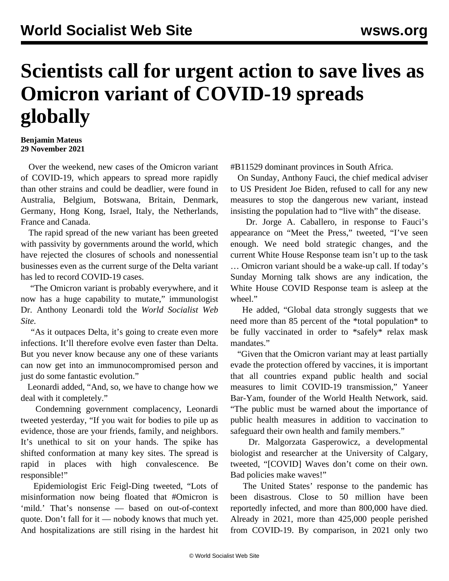## **Scientists call for urgent action to save lives as Omicron variant of COVID-19 spreads globally**

## **Benjamin Mateus 29 November 2021**

 Over the weekend, new cases of the Omicron variant of COVID-19, which appears to spread more rapidly than other strains and could be deadlier, were found in Australia, Belgium, Botswana, Britain, Denmark, Germany, Hong Kong, Israel, Italy, the Netherlands, France and Canada.

 The rapid spread of the new variant has been greeted with passivity by governments around the world, which have rejected the closures of schools and nonessential businesses even as the current surge of the Delta variant has led to record COVID-19 cases.

 "The Omicron variant is probably everywhere, and it now has a huge capability to mutate," immunologist Dr. Anthony Leonardi told the *World Socialist Web Site.*

 "As it outpaces Delta, it's going to create even more infections. It'll therefore evolve even faster than Delta. But you never know because any one of these variants can now get into an immunocompromised person and just do some fantastic evolution."

 Leonardi added, "And, so, we have to change how we deal with it completely."

 Condemning government complacency, Leonardi tweeted yesterday, "If you wait for bodies to pile up as evidence, those are your friends, family, and neighbors. It's unethical to sit on your hands. The spike has shifted conformation at many key sites. The spread is rapid in places with high convalescence. Be responsible!"

 Epidemiologist Eric Feigl-Ding tweeted, "Lots of misinformation now being floated that #Omicron is 'mild.' That's nonsense — based on out-of-context quote. Don't fall for it — nobody knows that much yet. And hospitalizations are still rising in the hardest hit #B11529 dominant provinces in South Africa.

 On Sunday, Anthony Fauci, the chief medical adviser to US President Joe Biden, refused to call for any new measures to stop the dangerous new variant, instead insisting the population had to "live with" the disease.

 Dr. Jorge A. Caballero, in response to Fauci's appearance on "Meet the Press," tweeted, "I've seen enough. We need bold strategic changes, and the current White House Response team isn't up to the task … Omicron variant should be a wake-up call. If today's Sunday Morning talk shows are any indication, the White House COVID Response team is asleep at the wheel."

 He added, "Global data strongly suggests that we need more than 85 percent of the \*total population\* to be fully vaccinated in order to \*safely\* relax mask mandates."

 "Given that the Omicron variant may at least partially evade the protection offered by vaccines, it is important that all countries expand public health and social measures to limit COVID-19 transmission," Yaneer Bar-Yam, founder of the World Health Network, said. "The public must be warned about the importance of public health measures in addition to vaccination to safeguard their own health and family members."

 Dr. Malgorzata Gasperowicz, a developmental biologist and researcher at the University of Calgary, tweeted, "[COVID] Waves don't come on their own. Bad policies make waves!"

 The United States' response to the pandemic has been disastrous. Close to 50 million have been reportedly infected, and more than 800,000 have died. Already in 2021, more than 425,000 people perished from COVID-19. By comparison, in 2021 only two